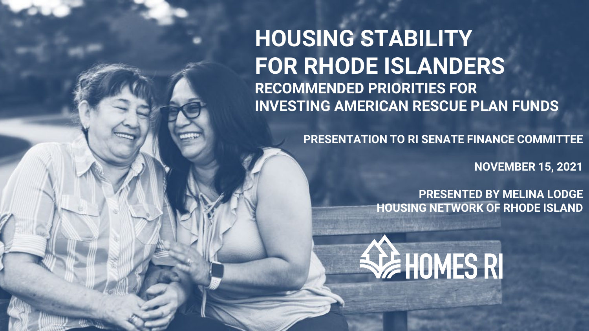**HOUSING STABILITY FOR RHODE ISLANDERS RECOMMENDED PRIORITIES FOR INVESTING AMERICAN RESCUE PLAN FUNDS**

**PRESENTATION TO RI SENATE FINANCE COMMITTEE**

**NOVEMBER 15, 2021**

**PRESENTED BY MELINA LODGE HOUSING NETWORK OF RHODE ISLAND**

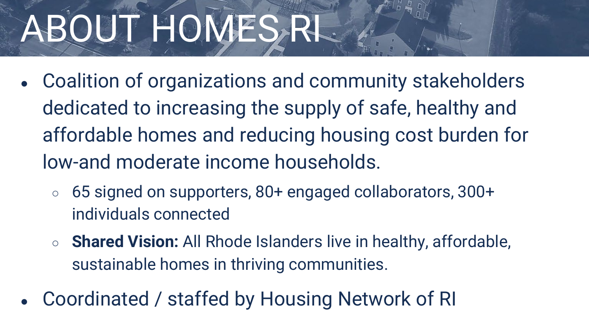## ABOUT HOMES, RL

- Coalition of organizations and community stakeholders dedicated to increasing the supply of safe, healthy and affordable homes and reducing housing cost burden for low-and moderate income households.
	- 65 signed on supporters, 80+ engaged collaborators, 300+ individuals connected
	- **Shared Vision:** All Rhode Islanders live in healthy, affordable, sustainable homes in thriving communities.
- Coordinated / staffed by Housing Network of RI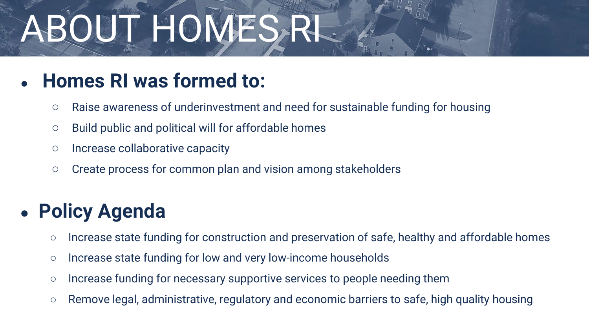## ABOUT HOMES, RI

### ● **Homes RI was formed to:**

- Raise awareness of underinvestment and need for sustainable funding for housing
- Build public and political will for affordable homes
- Increase collaborative capacity
- Create process for common plan and vision among stakeholders

### **Policy Agenda**

- Increase state funding for construction and preservation of safe, healthy and affordable homes
- Increase state funding for low and very low-income households
- Increase funding for necessary supportive services to people needing them
- Remove legal, administrative, regulatory and economic barriers to safe, high quality housing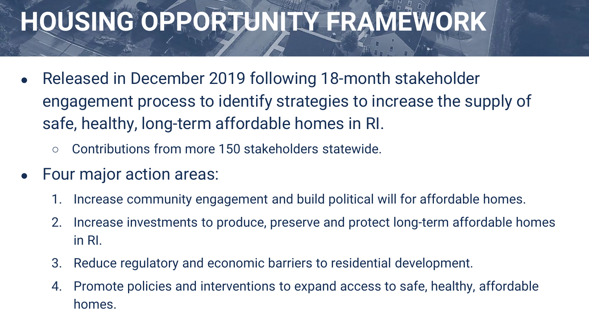## **HOUSING OPPORTUNITY FRAMEWORK**

- Released in December 2019 following 18-month stakeholder engagement process to identify strategies to increase the supply of safe, healthy, long-term affordable homes in RI.
	- Contributions from more 150 stakeholders statewide.
- Four major action areas:
	- 1. Increase community engagement and build political will for affordable homes.
	- 2. Increase investments to produce, preserve and protect long-term affordable homes in RI.
	- 3. Reduce regulatory and economic barriers to residential development.
	- 4. Promote policies and interventions to expand access to safe, healthy, affordable homes.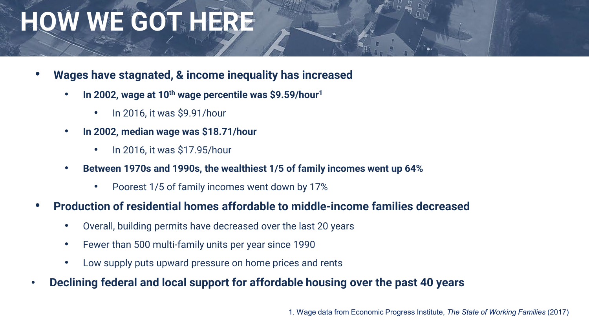## **HOW WE GOT HERE**

- **Wages have stagnated, & income inequality has increased**
	- **In 2002, wage at 10th wage percentile was \$9.59/hour1**
		- In 2016, it was \$9.91/hour
	- **In 2002, median wage was \$18.71/hour**
		- In 2016, it was \$17.95/hour
	- **Between 1970s and 1990s, the wealthiest 1/5 of family incomes went up 64%**
		- Poorest 1/5 of family incomes went down by 17%
- **Production of residential homes affordable to middle-income families decreased**
	- Overall, building permits have decreased over the last 20 years
	- Fewer than 500 multi-family units per year since 1990
	- Low supply puts upward pressure on home prices and rents
- **Declining federal and local support for affordable housing over the past 40 years**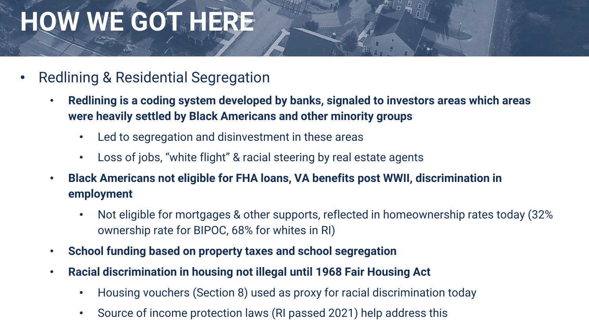## **HOW WE GOT HERE**

- Redlining & Residential Segregation
	- **Redlining is a coding system developed by banks, signaled to investors areas which areas were heavily settled by Black Americans and other minority groups**
		- Led to segregation and disinvestment in these areas
		- Loss of jobs, "white flight" & racial steering by real estate agents
	- **Black Americans not eligible for FHA loans, VA benefits post WWII, discrimination in employment**
		- Not eligible for mortgages & other supports, reflected in homeownership rates today (32% ownership rate for BIPOC, 68% for whites in RI)
	- **School funding based on property taxes and school segregation**
	- **Racial discrimination in housing not illegal until 1968 Fair Housing Act**
		- Housing vouchers (Section 8) used as proxy for racial discrimination today
		- Source of income protection laws (RI passed 2021) help address this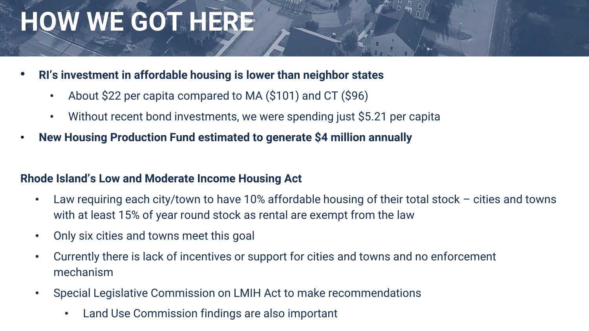## **HOW WE GOT HERE**

- **RI's investment in affordable housing is lower than neighbor states**
	- About \$22 per capita compared to MA (\$101) and CT (\$96)
	- Without recent bond investments, we were spending just \$5.21 per capita
- **New Housing Production Fund estimated to generate \$4 million annually**

#### **Rhode Island's Low and Moderate Income Housing Act**

- Law requiring each city/town to have 10% affordable housing of their total stock cities and towns with at least 15% of year round stock as rental are exempt from the law
- Only six cities and towns meet this goal
- Currently there is lack of incentives or support for cities and towns and no enforcement mechanism
- Special Legislative Commission on LMIH Act to make recommendations
	- Land Use Commission findings are also important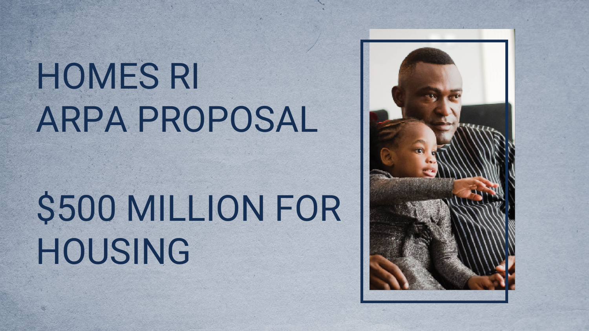## HOMES RI ARPA PROPOSAL

## \$500 MILLION FOR HOUSING

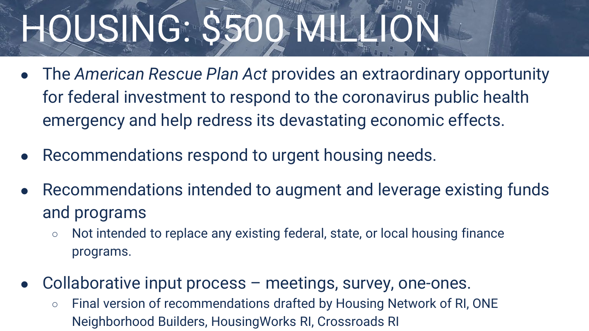## HOUSING: \$500 MILLION

- The *American Rescue Plan Act* provides an extraordinary opportunity for federal investment to respond to the coronavirus public health emergency and help redress its devastating economic effects.
- Recommendations respond to urgent housing needs.
- Recommendations intended to augment and leverage existing funds and programs
	- Not intended to replace any existing federal, state, or local housing finance programs.
- Collaborative input process  $-$  meetings, survey, one-ones.
	- Final version of recommendations drafted by Housing Network of RI, ONE Neighborhood Builders, HousingWorks RI, Crossroads RI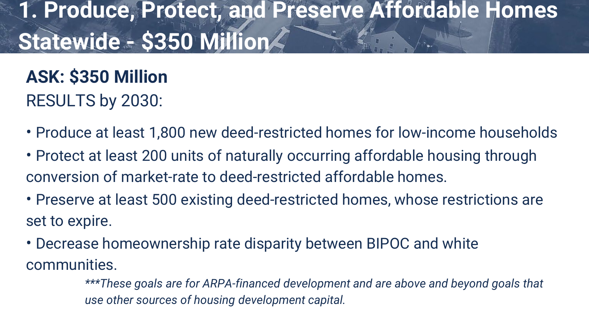## **1. Produce, Protect, and Preserve Affordable Homes Statewide - \$350 Million**

**ASK: \$350 Million**  RESULTS by 2030:

- Produce at least 1,800 new deed-restricted homes for low-income households
- Protect at least 200 units of naturally occurring affordable housing through conversion of market-rate to deed-restricted affordable homes.
- Preserve at least 500 existing deed-restricted homes, whose restrictions are set to expire.
- Decrease homeownership rate disparity between BIPOC and white communities.
	- *\*\*\*These goals are for ARPA-financed development and are above and beyond goals that use other sources of housing development capital.*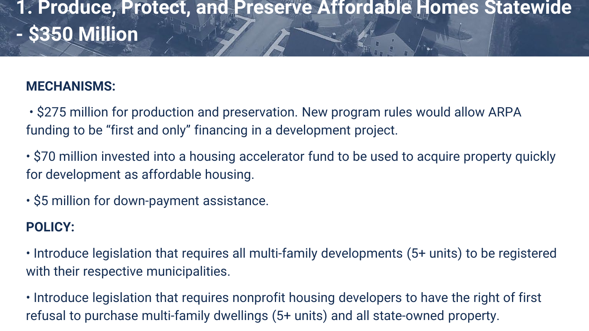### **1. Produce, Protect, and Preserve Affordable Homes Statewide - \$350 Million**

#### **MECHANISMS:**

• \$275 million for production and preservation. New program rules would allow ARPA funding to be "first and only" financing in a development project.

• \$70 million invested into a housing accelerator fund to be used to acquire property quickly for development as affordable housing.

• \$5 million for down-payment assistance.

#### **POLICY:**

• Introduce legislation that requires all multi-family developments (5+ units) to be registered with their respective municipalities.

• Introduce legislation that requires nonprofit housing developers to have the right of first refusal to purchase multi-family dwellings (5+ units) and all state-owned property.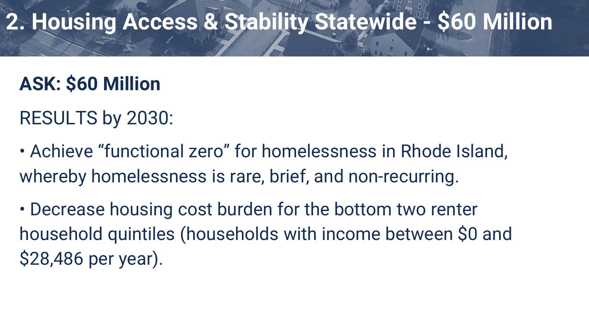## **2. Housing Access & Stability Statewide - \$60 Million**

## **ASK: \$60 Million**

- RESULTS by 2030:
- Achieve "functional zero" for homelessness in Rhode Island, whereby homelessness is rare, brief, and non-recurring.
- Decrease housing cost burden for the bottom two renter household quintiles (households with income between \$0 and \$28,486 per year).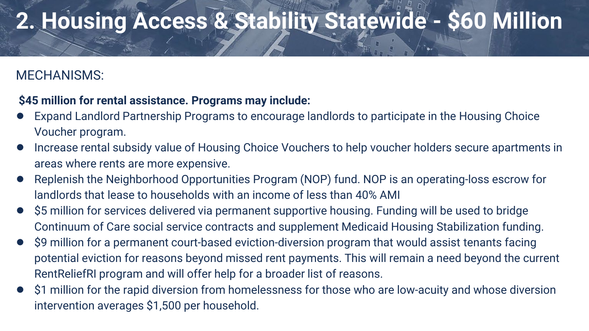## **2. Housing Access & Stability Statewide - \$60 Million**

#### MECHANISMS:

#### **\$45 million for rental assistance. Programs may include:**

- Expand Landlord Partnership Programs to encourage landlords to participate in the Housing Choice Voucher program.
- Increase rental subsidy value of Housing Choice Vouchers to help voucher holders secure apartments in areas where rents are more expensive.
- Replenish the Neighborhood Opportunities Program (NOP) fund. NOP is an operating-loss escrow for landlords that lease to households with an income of less than 40% AMI
- \$5 million for services delivered via permanent supportive housing. Funding will be used to bridge Continuum of Care social service contracts and supplement Medicaid Housing Stabilization funding.
- \$9 million for a permanent court-based eviction-diversion program that would assist tenants facing potential eviction for reasons beyond missed rent payments. This will remain a need beyond the current RentReliefRI program and will offer help for a broader list of reasons.
- \$1 million for the rapid diversion from homelessness for those who are low-acuity and whose diversion intervention averages \$1,500 per household.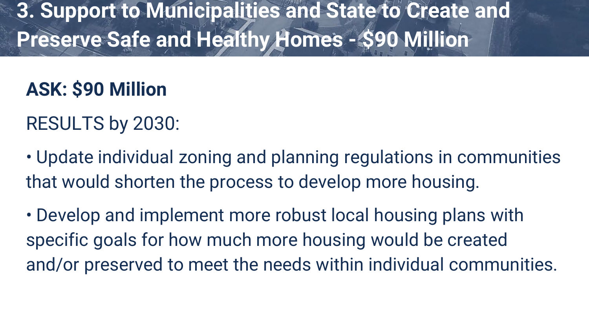**3. Support to Municipalities and State to Create and Preserve Safe and Healthy Homes - \$90 Million**

## **ASK: \$90 Million**

### RESULTS by 2030:

• Update individual zoning and planning regulations in communities that would shorten the process to develop more housing.

• Develop and implement more robust local housing plans with specific goals for how much more housing would be created and/or preserved to meet the needs within individual communities.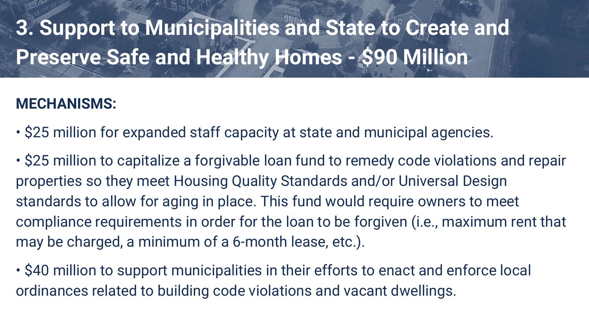**3. Support to Municipalities and State to Create and Preserve Safe and Healthy Homes - \$90 Million**

#### **MECHANISMS:**

• \$25 million for expanded staff capacity at state and municipal agencies.

• \$25 million to capitalize a forgivable loan fund to remedy code violations and repair properties so they meet Housing Quality Standards and/or Universal Design standards to allow for aging in place. This fund would require owners to meet compliance requirements in order for the loan to be forgiven (i.e., maximum rent that may be charged, a minimum of a 6-month lease, etc.).

• \$40 million to support municipalities in their efforts to enact and enforce local ordinances related to building code violations and vacant dwellings.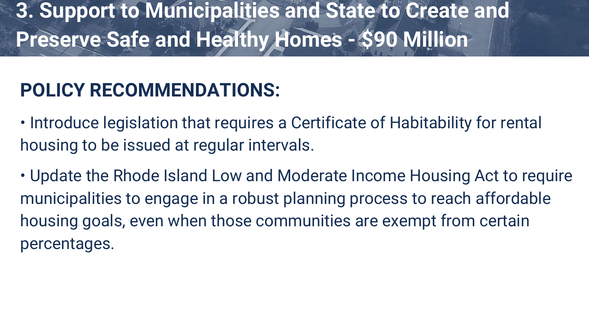## **3. Support to Municipalities and State to Create and Preserve Safe and Healthy Homes - \$90 Million**

### **POLICY RECOMMENDATIONS:**

• Introduce legislation that requires a Certificate of Habitability for rental housing to be issued at regular intervals.

• Update the Rhode Island Low and Moderate Income Housing Act to require municipalities to engage in a robust planning process to reach affordable housing goals, even when those communities are exempt from certain percentages.